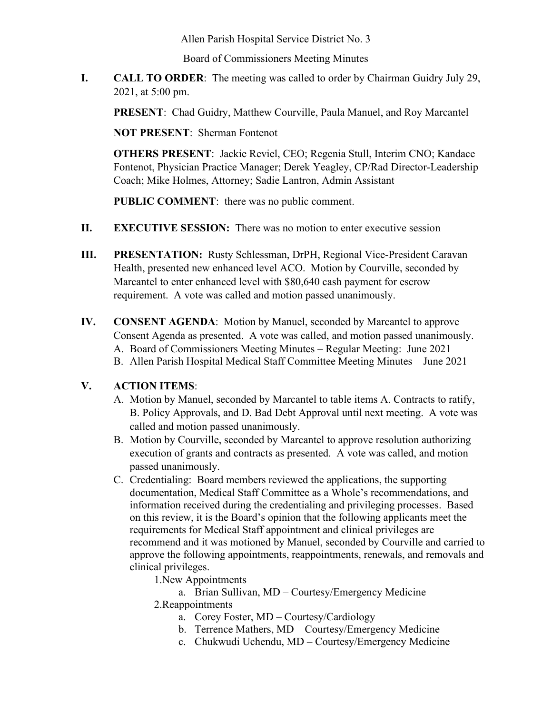Allen Parish Hospital Service District No. 3

Board of Commissioners Meeting Minutes

**I. CALL TO ORDER**: The meeting was called to order by Chairman Guidry July 29, 2021, at 5:00 pm.

**PRESENT**: Chad Guidry, Matthew Courville, Paula Manuel, and Roy Marcantel

**NOT PRESENT**: Sherman Fontenot

**OTHERS PRESENT**: Jackie Reviel, CEO; Regenia Stull, Interim CNO; Kandace Fontenot, Physician Practice Manager; Derek Yeagley, CP/Rad Director-Leadership Coach; Mike Holmes, Attorney; Sadie Lantron, Admin Assistant

**PUBLIC COMMENT**: there was no public comment.

- **II. EXECUTIVE SESSION:** There was no motion to enter executive session
- **III. PRESENTATION:** Rusty Schlessman, DrPH, Regional Vice-President Caravan Health, presented new enhanced level ACO. Motion by Courville, seconded by Marcantel to enter enhanced level with \$80,640 cash payment for escrow requirement. A vote was called and motion passed unanimously.
- **IV. CONSENT AGENDA**: Motion by Manuel, seconded by Marcantel to approve Consent Agenda as presented. A vote was called, and motion passed unanimously. A. Board of Commissioners Meeting Minutes – Regular Meeting: June 2021 B. Allen Parish Hospital Medical Staff Committee Meeting Minutes – June 2021

#### **V. ACTION ITEMS**:

- A. Motion by Manuel, seconded by Marcantel to table items A. Contracts to ratify, B. Policy Approvals, and D. Bad Debt Approval until next meeting. A vote was called and motion passed unanimously.
- B. Motion by Courville, seconded by Marcantel to approve resolution authorizing execution of grants and contracts as presented. A vote was called, and motion passed unanimously.
- C. Credentialing: Board members reviewed the applications, the supporting documentation, Medical Staff Committee as a Whole's recommendations, and information received during the credentialing and privileging processes. Based on this review, it is the Board's opinion that the following applicants meet the requirements for Medical Staff appointment and clinical privileges are recommend and it was motioned by Manuel, seconded by Courville and carried to approve the following appointments, reappointments, renewals, and removals and clinical privileges.

1.New Appointments

- a. Brian Sullivan, MD Courtesy/Emergency Medicine
- 2.Reappointments
	- a. Corey Foster, MD Courtesy/Cardiology
	- b. Terrence Mathers, MD Courtesy/Emergency Medicine
	- c. Chukwudi Uchendu, MD Courtesy/Emergency Medicine